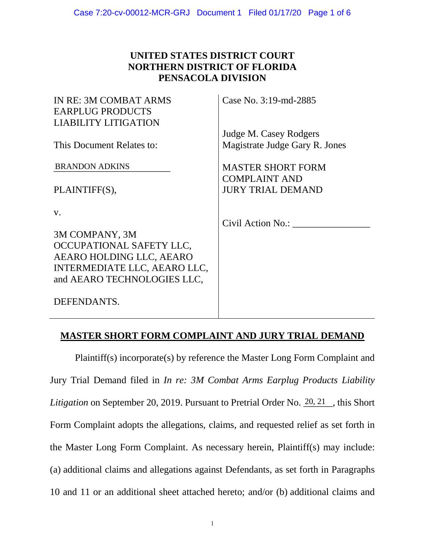#### **UNITED STATES DISTRICT COURT NORTHERN DISTRICT OF FLORIDA PENSACOLA DIVISION**

| IN RE: 3M COMBAT ARMS<br><b>EARPLUG PRODUCTS</b><br><b>LIABILITY LITIGATION</b> | Case No. 3:19-md-2885                                    |
|---------------------------------------------------------------------------------|----------------------------------------------------------|
| This Document Relates to:                                                       | Judge M. Casey Rodgers<br>Magistrate Judge Gary R. Jones |
| <b>BRANDON ADKINS</b>                                                           | <b>MASTER SHORT FORM</b><br><b>COMPLAINT AND</b>         |
| PLAINTIFF(S),                                                                   | <b>JURY TRIAL DEMAND</b>                                 |
| V.                                                                              | Civil Action No.:                                        |
| 3M COMPANY, 3M                                                                  |                                                          |
| OCCUPATIONAL SAFETY LLC,<br>AEARO HOLDING LLC, AEARO                            |                                                          |
| INTERMEDIATE LLC, AEARO LLC,<br>and AEARO TECHNOLOGIES LLC,                     |                                                          |
| DEFENDANTS.                                                                     |                                                          |

#### **MASTER SHORT FORM COMPLAINT AND JURY TRIAL DEMAND**

Plaintiff(s) incorporate(s) by reference the Master Long Form Complaint and Jury Trial Demand filed in *In re: 3M Combat Arms Earplug Products Liability*  Litigation on September 20, 2019. Pursuant to Pretrial Order No. 20, 21, this Short Form Complaint adopts the allegations, claims, and requested relief as set forth in the Master Long Form Complaint. As necessary herein, Plaintiff(s) may include: (a) additional claims and allegations against Defendants, as set forth in Paragraphs 10 and 11 or an additional sheet attached hereto; and/or (b) additional claims and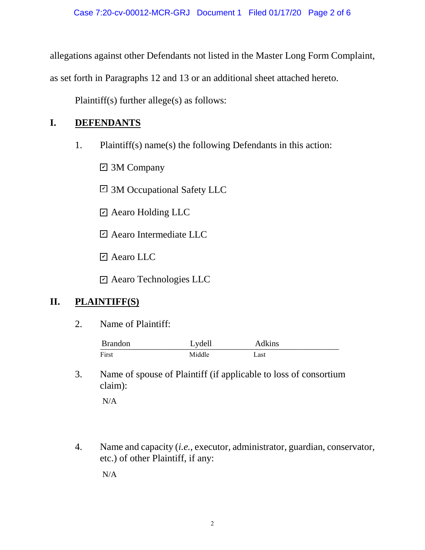allegations against other Defendants not listed in the Master Long Form Complaint,

as set forth in Paragraphs 12 and 13 or an additional sheet attached hereto.

Plaintiff(s) further allege(s) as follows:

# **I. DEFENDANTS**

- 1. Plaintiff(s) name(s) the following Defendants in this action:
	- 3M Company ✔
	- $\Xi$  3M Occupational Safety LLC
	- **Z** Aearo Holding LLC
	- Aearo Intermediate LLC ✔
	- **Z** Aearo LLC

**Z** Aearo Technologies LLC

# **II. PLAINTIFF(S)**

2. Name of Plaintiff:

| <b>Brandon</b> | Lydell | Adkins |
|----------------|--------|--------|
| First          | Middle | Last   |

3. Name of spouse of Plaintiff (if applicable to loss of consortium claim):

N/A

4. Name and capacity (*i.e.*, executor, administrator, guardian, conservator, etc.) of other Plaintiff, if any:

N/A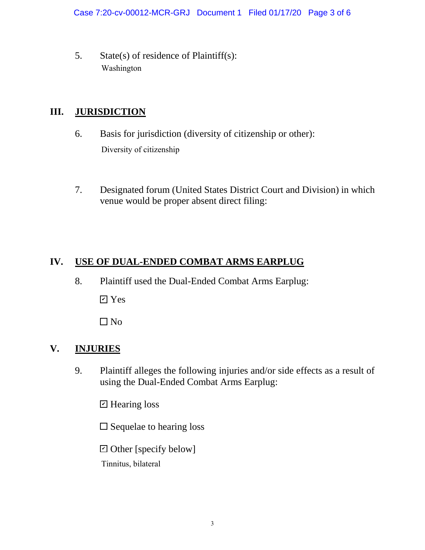5. State(s) of residence of Plaintiff(s): Washington

## **III. JURISDICTION**

- 6. Basis for jurisdiction (diversity of citizenship or other): Diversity of citizenship
- 7. Designated forum (United States District Court and Division) in which venue would be proper absent direct filing:

# **IV. USE OF DUAL-ENDED COMBAT ARMS EARPLUG**

8. Plaintiff used the Dual-Ended Combat Arms Earplug:

Yes ✔

 $\Box$  No

# **V. INJURIES**

9. Plaintiff alleges the following injuries and/or side effects as a result of using the Dual-Ended Combat Arms Earplug:

□ Hearing loss

 $\square$  Sequelae to hearing loss

Other [specify below] ✔

Tinnitus, bilateral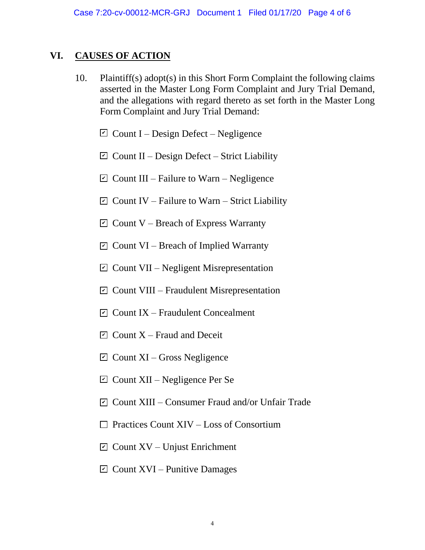### **VI. CAUSES OF ACTION**

- 10. Plaintiff(s) adopt(s) in this Short Form Complaint the following claims asserted in the Master Long Form Complaint and Jury Trial Demand, and the allegations with regard thereto as set forth in the Master Long Form Complaint and Jury Trial Demand:
	- $\overline{\triangleleft}$  Count I Design Defect Negligence
	- $\Box$  Count II Design Defect Strict Liability
	- $\Box$  Count III Failure to Warn Negligence
	- $\Box$  Count IV Failure to Warn Strict Liability
	- $\Box$  Count V Breach of Express Warranty
	- Count VI Breach of Implied Warranty ✔
	- $\Box$  Count VII Negligent Misrepresentation
	- $\Box$  Count VIII Fraudulent Misrepresentation
	- $\Box$  Count IX Fraudulent Concealment
	- $\Box$  Count X Fraud and Deceit
	- $\Box$  Count XI Gross Negligence
	- $\Box$  Count XII Negligence Per Se
	- Count XIII Consumer Fraud and/or Unfair Trade ✔
	- $\Box$  Practices Count XIV Loss of Consortium
	- $\Box$  Count XV Unjust Enrichment
	- $\Box$  Count XVI Punitive Damages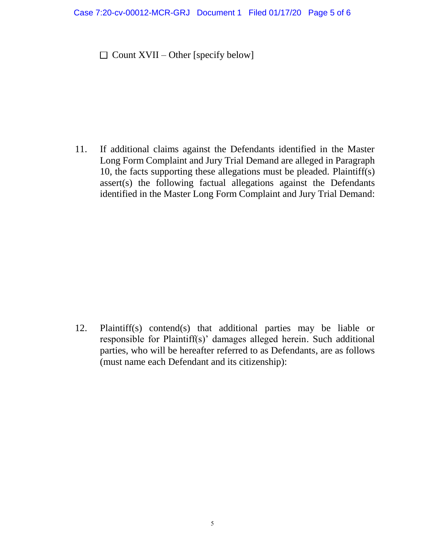#### Case 7:20-cv-00012-MCR-GRJ Document 1 Filed 01/17/20 Page 5 of 6

 $\Box$  Count XVII – Other [specify below]

11. If additional claims against the Defendants identified in the Master Long Form Complaint and Jury Trial Demand are alleged in Paragraph 10, the facts supporting these allegations must be pleaded. Plaintiff(s) assert(s) the following factual allegations against the Defendants identified in the Master Long Form Complaint and Jury Trial Demand:

12. Plaintiff(s) contend(s) that additional parties may be liable or responsible for Plaintiff(s)' damages alleged herein. Such additional parties, who will be hereafter referred to as Defendants, are as follows (must name each Defendant and its citizenship):